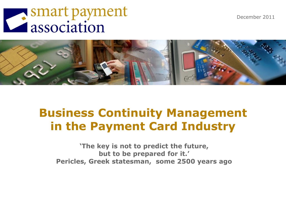December 2011

# Smart payment



# **Business Continuity Management in the Payment Card Industry**

**"The key is not to predict the future, but to be prepared for it." Pericles, Greek statesman, some 2500 years ago**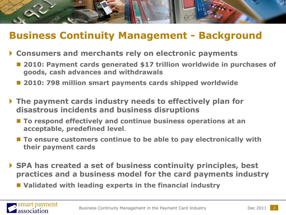## **Business Continuity Management - Background**

- **Consumers and merchants rely on electronic payments**
	- **2010: Payment cards generated \$17 trillion worldwide in purchases of goods, cash advances and withdrawals**
	- **2010: 798 million smart payments cards shipped worldwide**
- **The payment cards industry needs to effectively plan for disastrous incidents and business disruptions** 
	- To respond effectively and continue business operations at an **acceptable, predefined level**.
	- To ensure customers continue to be able to pay electronically with **their payment cards**
- **SPA has created a set of business continuity principles, best practices and a business model for the card payments industry**
	- **Validated with leading experts in the financial industry**



[1] Smart Payment Association Press release, May 5, 2011

980, Septem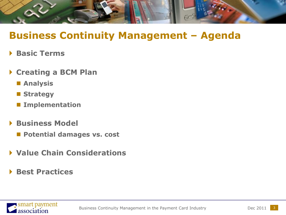

## **Business Continuity Management – Agenda**

- **Basic Terms**
- **Creating a BCM Plan**
	- **Analysis**
	- **Strategy**
	- $\blacksquare$  Implementation
- **▶ Business Model** 
	- **Potential damages vs. cost**
- **Value Chain Considerations**
- **Best Practices**

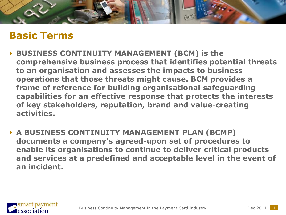

## **Basic Terms**

- **BUSINESS CONTINUITY MANAGEMENT (BCM) is the comprehensive business process that identifies potential threats to an organisation and assesses the impacts to business operations that those threats might cause. BCM provides a frame of reference for building organisational safeguarding capabilities for an effective response that protects the interests of key stakeholders, reputation, brand and value-creating activities.**
- **A BUSINESS CONTINUITY MANAGEMENT PLAN (BCMP) documents a company"s agreed-upon set of procedures to enable its organisations to continue to deliver critical products and services at a predefined and acceptable level in the event of an incident.**

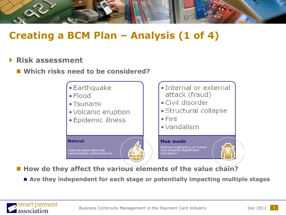

## **Creating a BCM Plan – Analysis (1 of 4)**

#### **Risk assessment**

#### **Which risks need to be considered?**



**How do they affect the various elements of the value chain?** 

**Are they independent for each stage or potentially impacting multiple stages**

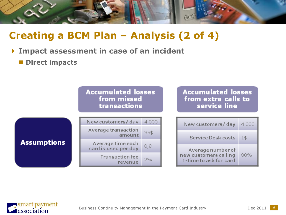

# **Creating a BCM Plan – Analysis (2 of 4)**

#### **Impact assessment in case of an incident**

**Direct impacts** 



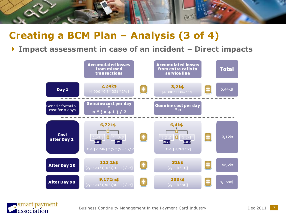

## **Creating a BCM Plan – Analysis (3 of 4)**

#### **Impact assessment in case of an incident – Direct impacts**

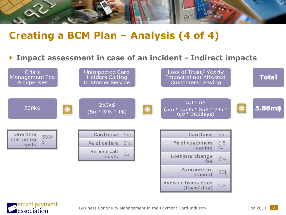

## **Creating a BCM Plan – Analysis (4 of 4)**

#### **Impact assessment in case of an incident - Indirect impacts**



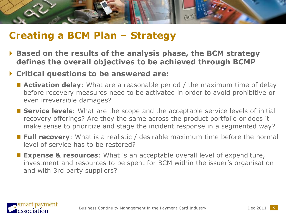

## **Creating a BCM Plan – Strategy**

- **Based on the results of the analysis phase, the BCM strategy defines the overall objectives to be achieved through BCMP**
- **Critical questions to be answered are:**
	- **Activation delay**: What are a reasonable period / the maximum time of delay before recovery measures need to be activated in order to avoid prohibitive or even irreversible damages?
	- **Service levels**: What are the scope and the acceptable service levels of initial recovery offerings? Are they the same across the product portfolio or does it make sense to prioritize and stage the incident response in a segmented way?
	- **Full recovery**: What is a realistic / desirable maximum time before the normal level of service has to be restored?
	- **Expense & resources**: What is an acceptable overall level of expenditure, investment and resources to be spent for BCM within the issuer's organisation and with 3rd party suppliers?

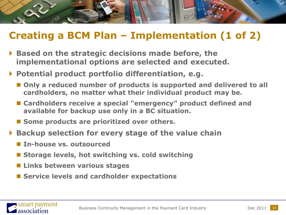

# **Creating a BCM Plan – Implementation (1 of 2)**

- **Based on the strategic decisions made before, the implementational options are selected and executed.**
- **Potential product portfolio differentiation, e.g.**
	- Only a reduced number of products is supported and delivered to all **cardholders, no matter what their individual product may be.**
	- **Cardholders receive a special "emergency" product defined and available for backup use only in a BC situation.**
	- Some products are prioritized over others.
- **Backup selection for every stage of the value chain**
	- **In-house vs. outsourced**
	- Storage levels, hot switching vs. cold switching
	- **Links between various stages**
	- Service levels and cardholder expectations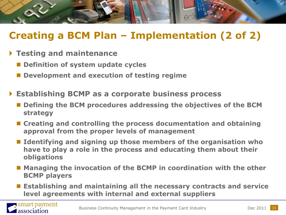

# **Creating a BCM Plan – Implementation (2 of 2)**

- **Testing and maintenance**
	- Definition of system update cycles
	- **Development and execution of testing regime**
- **Establishing BCMP as a corporate business process**
	- Defining the BCM procedures addressing the objectives of the BCM **strategy**
	- Creating and controlling the process documentation and obtaining **approval from the proper levels of management**
	- **Identifying and signing up those members of the organisation who have to play a role in the process and educating them about their obligations**
	- Managing the invocation of the BCMP in coordination with the other **BCMP players**
	- **Establishing and maintaining all the necessary contracts and service level agreements with internal and external suppliers**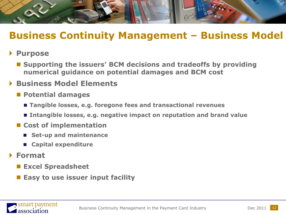

## **Business Continuity Management – Business Model**

#### **Purpose**

■ Supporting the issuers' BCM decisions and tradeoffs by providing **numerical guidance on potential damages and BCM cost** 

#### **Business Model Elements**

- **Potential damages**
	- **Tangible losses, e.g. foregone fees and transactional revenues**
	- **Intangible losses, e.g. negative impact on reputation and brand value**
- Cost of implementation
	- **Set-up and maintenance**
	- **Capital expenditure**

#### **Format**

- **Excel Spreadsheet**
- **Easy to use issuer input facility**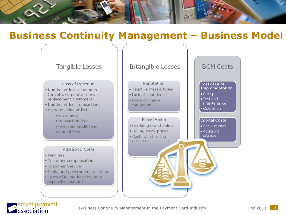

## **Business Continuity Management – Business Model**





Business Continuity Management in the Payment Card Industry **Dec 2011**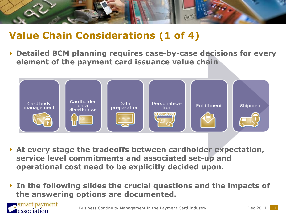

## **Value Chain Considerations (1 of 4)**

smart payment

association

 **Detailed BCM planning requires case-by-case decisions for every element of the payment card issuance value chain**



- **At every stage the tradeoffs between cardholder expectation, service level commitments and associated set-up and operational cost need to be explicitly decided upon.**
- **In the following slides the crucial questions and the impacts of the answering options are documented.**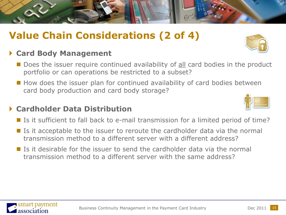# **Value Chain Considerations (2 of 4)**

#### **Card Body Management**

- Does the issuer require continued availability of all card bodies in the product portfolio or can operations be restricted to a subset?
- How does the issuer plan for continued availability of card bodies between card body production and card body storage?

#### **Cardholder Data Distribution**

- Is it sufficient to fall back to e-mail transmission for a limited period of time?
- Is it acceptable to the issuer to reroute the cardholder data via the normal transmission method to a different server with a different address?
- $\blacksquare$  Is it desirable for the issuer to send the cardholder data via the normal transmission method to a different server with the same address?





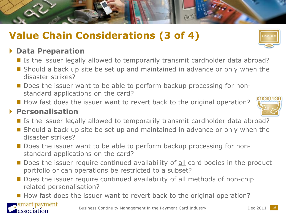# **Value Chain Considerations (3 of 4)**

#### **Data Preparation**

- Is the issuer legally allowed to temporarily transmit cardholder data abroad?
- Should a back up site be set up and maintained in advance or only when the disaster strikes?
- Does the issuer want to be able to perform backup processing for nonstandard applications on the card?
- How fast does the issuer want to revert back to the original operation?

#### **Personalisation**

- Is the issuer legally allowed to temporarily transmit cardholder data abroad?
- Should a back up site be set up and maintained in advance or only when the disaster strikes?
- Does the issuer want to be able to perform backup processing for nonstandard applications on the card?
- Does the issuer require continued availability of all card bodies in the product portfolio or can operations be restricted to a subset?
- Does the issuer require continued availability of all methods of non-chip related personalisation?
- How fast does the issuer want to revert back to the original operation?







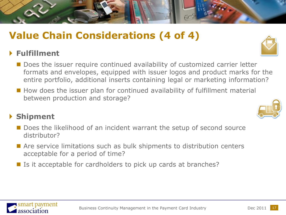# **Value Chain Considerations (4 of 4)**

#### **Fulfillment**

- **Does the issuer require continued availability of customized carrier letter** formats and envelopes, equipped with issuer logos and product marks for the entire portfolio, additional inserts containing legal or marketing information?
- How does the issuer plan for continued availability of fulfillment material between production and storage?

#### **Shipment**

mart payment

association

- Does the likelihood of an incident warrant the setup of second source distributor?
- Are service limitations such as bulk shipments to distribution centers acceptable for a period of time?
- Is it acceptable for cardholders to pick up cards at branches?



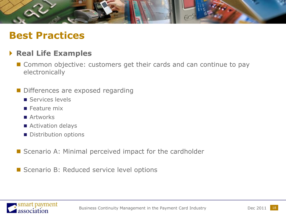

## **Best Practices**

#### **Real Life Examples**

- Common objective: customers get their cards and can continue to pay electronically
- Differences are exposed regarding
	- Services levels
	- $\blacksquare$  Feature mix
	- **Artworks**
	- Activation delays
	- Distribution options
- Scenario A: Minimal perceived impact for the cardholder
- Scenario B: Reduced service level options

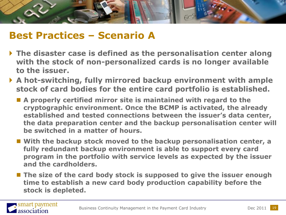

## **Best Practices – Scenario A**

- **The disaster case is defined as the personalisation center along with the stock of non-personalized cards is no longer available to the issuer.**
- **A hot-switching, fully mirrored backup environment with ample stock of card bodies for the entire card portfolio is established.**
	- **A properly certified mirror site is maintained with regard to the cryptographic environment. Once the BCMP is activated, the already established and tested connections between the issuer"s data center, the data preparation center and the backup personalisation center will be switched in a matter of hours.**
	- **With the backup stock moved to the backup personalisation center, a fully redundant backup environment is able to support every card program in the portfolio with service levels as expected by the issuer and the cardholders.**
	- The size of the card body stock is supposed to give the issuer enough **time to establish a new card body production capability before the stock is depleted.**

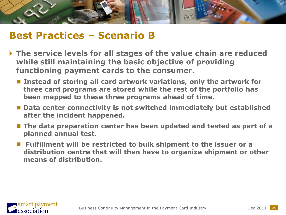

## **Best Practices – Scenario B**

- **The service levels for all stages of the value chain are reduced while still maintaining the basic objective of providing functioning payment cards to the consumer.** 
	- Instead of storing all card artwork variations, only the artwork for **three card programs are stored while the rest of the portfolio has been mapped to these three programs ahead of time.**
	- Data center connectivity is not switched immediately but established **after the incident happened.**
	- **The data preparation center has been updated and tested as part of a planned annual test.**
	- Fulfillment will be restricted to bulk shipment to the issuer or a **distribution centre that will then have to organize shipment or other means of distribution.**

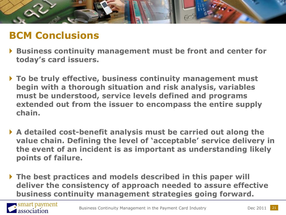

## **BCM Conclusions**

- **Business continuity management must be front and center for today"s card issuers.**
- **To be truly effective, business continuity management must begin with a thorough situation and risk analysis, variables must be understood, service levels defined and programs extended out from the issuer to encompass the entire supply chain.**
- **A detailed cost-benefit analysis must be carried out along the value chain. Defining the level of "acceptable" service delivery in the event of an incident is as important as understanding likely points of failure.**
- **The best practices and models described in this paper will deliver the consistency of approach needed to assure effective business continuity management strategies going forward.**